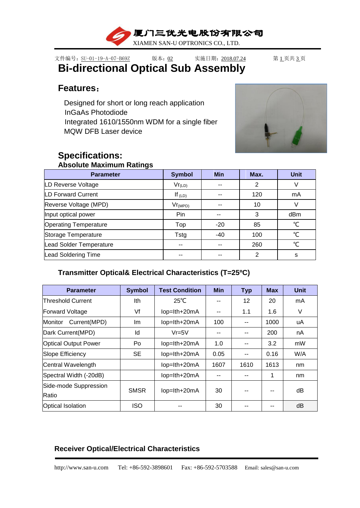

# 文件编号: SU-01-19-A-07-B69Z 版本: 02 实施日期: 2018.07.24 第1页共3页 **Bi-directional Optical Sub Assembly**

## **Features**:

Designed for short or long reach application InGaAs Photodiode Integrated 1610/1550nm WDM for a single fiber MQW DFB Laser device



# **Specifications:**

# **Absolute Maximum Ratings**

| <b>Parameter</b>               | <b>Symbol</b> | <b>Min</b> | Max.           | <b>Unit</b> |
|--------------------------------|---------------|------------|----------------|-------------|
| LD Reverse Voltage             | $Vr_{(LD)}$   | --         | 2              |             |
| <b>LD Forward Current</b>      | If $(LD)$     |            | 120            | mA          |
| Reverse Voltage (MPD)          | $Vr_{(MPD)}$  |            | 10             |             |
| Input optical power            | Pin           | --         | 3              | dBm         |
| <b>Operating Temperature</b>   | Top           | $-20$      | 85             | ℃           |
| Storage Temperature            | Tstg          | $-40$      | 100            | ℃           |
| <b>Lead Solder Temperature</b> | --            | --         | 260            | ∽           |
| <b>Lead Soldering Time</b>     |               | --         | $\overline{2}$ | S           |

## **Transmitter Optical& Electrical Characteristics (T=25ºC)**

| <b>Parameter</b>            | <b>Symbol</b> | <b>Test Condition</b> | <b>Min</b> | <b>Typ</b> | <b>Max</b> | <b>Unit</b> |
|-----------------------------|---------------|-----------------------|------------|------------|------------|-------------|
| <b>Threshold Current</b>    | lth           | $25^{\circ}$ C        |            | 12         | 20         | mA          |
| <b>Forward Voltage</b>      | Vf            | lop=lth+20mA          |            | 1.1        | 1.6        | V           |
| Current(MPD)<br>Monitor     | Im            | lop=lth+20mA          | 100        | --         | 1000       | uA          |
| Dark Current(MPD)           | ld            | $Vr = 5V$             |            |            | 200        | nA          |
| <b>Optical Output Power</b> | Po            | lop=lth+20mA          | 1.0        | --         | 3.2        | mW          |
| Slope Efficiency            | <b>SE</b>     | lop=lth+20mA          | 0.05       | --         | 0.16       | W/A         |
| Central Wavelength          |               | lop=lth+20mA          | 1607       | 1610       | 1613       | nm          |
| Spectral Width (-20dB)      |               | lop=lth+20mA          | --         |            | 1          | nm          |
| Side-mode Suppression       | <b>SMSR</b>   |                       | 30         | --         |            | dB          |
| Ratio                       |               | lop=lth+20mA          |            |            | --         |             |
| <b>Optical Isolation</b>    | <b>ISO</b>    |                       | 30         |            | --         | dB          |

## **Receiver Optical/Electrical Characteristics**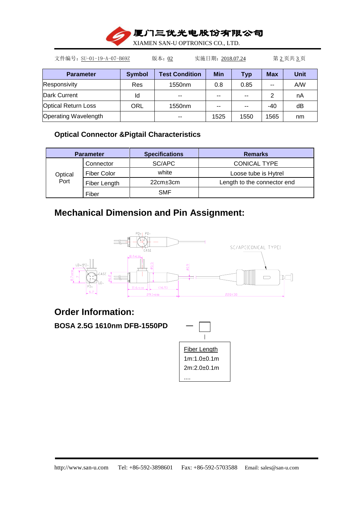

文件编号: SU-01-19-A-07-B69Z 版本: 02 实施日期: 2018.07.24 第 2页共 3页 **Parameter Symbol Test Condition Min Typ Max Unit** Responsivity Res 1550nm 0.8 0.85 -- A/W Dark Current  $\begin{vmatrix} 1 & 1 & 1 \\ 1 & 1 & 1 \end{vmatrix}$  and  $\begin{vmatrix} -1 & 1 & 1 \\ -1 & 1 & 1 \end{vmatrix}$  and  $\begin{vmatrix} -1 & 1 & 1 \\ 1 & -1 & 1 \end{vmatrix}$  and  $\begin{vmatrix} -1 & 1 & 1 \\ 1 & -1 & 1 \end{vmatrix}$  and  $\begin{vmatrix} -1 & 1 & 1 \\ 1 & -1 & 1 \end{vmatrix}$  and  $\begin{vmatrix} -1 & 1 & 1 \\ 1 & -1 & 1 \end{vmatrix$ Optical Return Loss | ORL | 1550nm | -- | -- | -40 | dB Operating Wavelength  $\vert$   $\vert$   $\vert$  -  $\vert$  1525 | 1550 | 1565 | nm

### **Optical Connector &Pigtail Characteristics**

|         | <b>Parameter</b>   | <b>Specifications</b> | <b>Remarks</b>              |
|---------|--------------------|-----------------------|-----------------------------|
|         | Connector          | SC/APC                | <b>CONICAL TYPE</b>         |
| Optical | <b>Fiber Color</b> | white                 | Loose tube is Hytrel        |
| Port    | Fiber Length       | $22cm \pm 3cm$        | Length to the connector end |
|         | Fiber              | <b>SMF</b>            |                             |

# **Mechanical Dimension and Pin Assignment:**



# **Order Information:**

**BOSA 2.5G 1610nm DFB-1550PD** —

| Fiber Length |
|--------------|
| 1m:1.0+0.1m  |
| 2m:2.0+0.1m  |
|              |